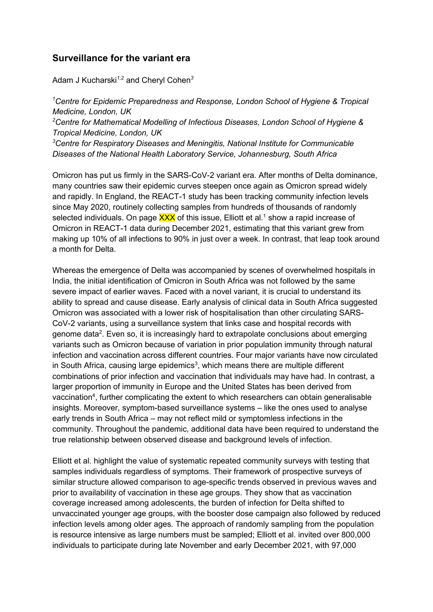## **Surveillance for the variant era**

Adam J Kucharski*1,2* and Cheryl Cohen*<sup>3</sup>*

*<sup>1</sup>Centre for Epidemic Preparedness and Response, London School of Hygiene & Tropical Medicine, London, UK <sup>2</sup>Centre for Mathematical Modelling of Infectious Diseases, London School of Hygiene & Tropical Medicine, London, UK*

*<sup>3</sup>Centre for Respiratory Diseases and Meningitis, National Institute for Communicable Diseases of the National Health Laboratory Service, Johannesburg, South Africa*

Omicron has put us firmly in the SARS-CoV-2 variant era. After months of Delta dominance, many countries saw their epidemic curves steepen once again as Omicron spread widely and rapidly. In England, the REACT-1 study has been tracking community infection levels since May 2020, routinely collecting samples from hundreds of thousands of randomly selected individuals. On page  $\overline{XXX}$  of this issue, Elliott et al.<sup>1</sup> show a rapid increase of Omicron in REACT-1 data during December 2021, estimating that this variant grew from making up 10% of all infections to 90% in just over a week. In contrast, that leap took around a month for Delta.

Whereas the emergence of Delta was accompanied by scenes of overwhelmed hospitals in India, the initial identification of Omicron in South Africa was not followed by the same severe impact of earlier waves. Faced with a novel variant, it is crucial to understand its ability to spread and cause disease. Early analysis of clinical data in South Africa suggested Omicron was associated with a lower risk of hospitalisation than other circulating SARS-CoV-2 variants, using a surveillance system that links case and hospital records with genome data<sup>2</sup>. Even so, it is increasingly hard to extrapolate conclusions about emerging variants such as Omicron because of variation in prior population immunity through natural infection and vaccination across different countries. Four major variants have now circulated in South Africa, causing large epidemics<sup>3</sup>, which means there are multiple different combinations of prior infection and vaccination that individuals may have had. In contrast, a larger proportion of immunity in Europe and the United States has been derived from vaccination<sup>4</sup>, further complicating the extent to which researchers can obtain generalisable insights. Moreover, symptom-based surveillance systems – like the ones used to analyse early trends in South Africa – may not reflect mild or symptomless infections in the community. Throughout the pandemic, additional data have been required to understand the true relationship between observed disease and background levels of infection.

Elliott et al. highlight the value of systematic repeated community surveys with testing that samples individuals regardless of symptoms. Their framework of prospective surveys of similar structure allowed comparison to age-specific trends observed in previous waves and prior to availability of vaccination in these age groups. They show that as vaccination coverage increased among adolescents, the burden of infection for Delta shifted to unvaccinated younger age groups, with the booster dose campaign also followed by reduced infection levels among older ages. The approach of randomly sampling from the population is resource intensive as large numbers must be sampled; Elliott et al. invited over 800,000 individuals to participate during late November and early December 2021, with 97,000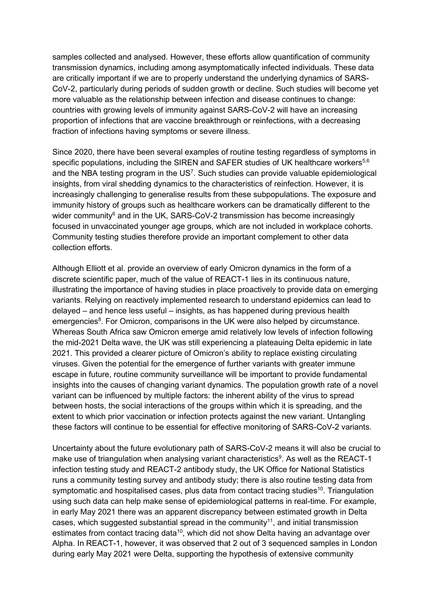samples collected and analysed. However, these efforts allow quantification of community transmission dynamics, including among asymptomatically infected individuals. These data are critically important if we are to properly understand the underlying dynamics of SARS-CoV-2, particularly during periods of sudden growth or decline. Such studies will become yet more valuable as the relationship between infection and disease continues to change: countries with growing levels of immunity against SARS-CoV-2 will have an increasing proportion of infections that are vaccine breakthrough or reinfections, with a decreasing fraction of infections having symptoms or severe illness.

Since 2020, there have been several examples of routine testing regardless of symptoms in specific populations, including the SIREN and SAFER studies of UK healthcare workers<sup>5,6</sup> and the NBA testing program in the US<sup>7</sup>. Such studies can provide valuable epidemiological insights, from viral shedding dynamics to the characteristics of reinfection. However, it is increasingly challenging to generalise results from these subpopulations. The exposure and immunity history of groups such as healthcare workers can be dramatically different to the wider community $6$  and in the UK, SARS-CoV-2 transmission has become increasingly focused in unvaccinated younger age groups, which are not included in workplace cohorts. Community testing studies therefore provide an important complement to other data collection efforts.

Although Elliott et al. provide an overview of early Omicron dynamics in the form of a discrete scientific paper, much of the value of REACT-1 lies in its continuous nature, illustrating the importance of having studies in place proactively to provide data on emerging variants. Relying on reactively implemented research to understand epidemics can lead to delayed – and hence less useful – insights, as has happened during previous health emergencies<sup>8</sup>. For Omicron, comparisons in the UK were also helped by circumstance. Whereas South Africa saw Omicron emerge amid relatively low levels of infection following the mid-2021 Delta wave, the UK was still experiencing a plateauing Delta epidemic in late 2021. This provided a clearer picture of Omicron's ability to replace existing circulating viruses. Given the potential for the emergence of further variants with greater immune escape in future, routine community surveillance will be important to provide fundamental insights into the causes of changing variant dynamics. The population growth rate of a novel variant can be influenced by multiple factors: the inherent ability of the virus to spread between hosts, the social interactions of the groups within which it is spreading, and the extent to which prior vaccination or infection protects against the new variant. Untangling these factors will continue to be essential for effective monitoring of SARS-CoV-2 variants.

Uncertainty about the future evolutionary path of SARS-CoV-2 means it will also be crucial to make use of triangulation when analysing variant characteristics<sup>9</sup>. As well as the REACT-1 infection testing study and REACT-2 antibody study, the UK Office for National Statistics runs a community testing survey and antibody study; there is also routine testing data from symptomatic and hospitalised cases, plus data from contact tracing studies<sup>10</sup>. Triangulation using such data can help make sense of epidemiological patterns in real-time. For example, in early May 2021 there was an apparent discrepancy between estimated growth in Delta cases, which suggested substantial spread in the community<sup>11</sup>, and initial transmission estimates from contact tracing data<sup>10</sup>, which did not show Delta having an advantage over Alpha. In REACT-1, however, it was observed that 2 out of 3 sequenced samples in London during early May 2021 were Delta, supporting the hypothesis of extensive community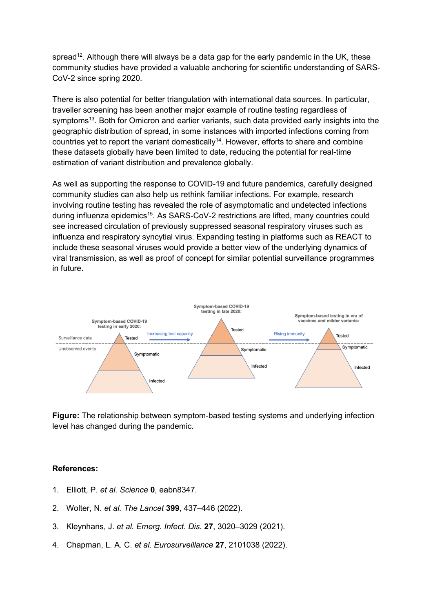spread<sup>12</sup>. Although there will always be a data gap for the early pandemic in the UK, these community studies have provided a valuable anchoring for scientific understanding of SARS-CoV-2 since spring 2020.

There is also potential for better triangulation with international data sources. In particular, traveller screening has been another major example of routine testing regardless of symptoms<sup>13</sup>. Both for Omicron and earlier variants, such data provided early insights into the geographic distribution of spread, in some instances with imported infections coming from countries yet to report the variant domestically<sup>14</sup>. However, efforts to share and combine these datasets globally have been limited to date, reducing the potential for real-time estimation of variant distribution and prevalence globally.

As well as supporting the response to COVID-19 and future pandemics, carefully designed community studies can also help us rethink familiar infections. For example, research involving routine testing has revealed the role of asymptomatic and undetected infections during influenza epidemics<sup>15</sup>. As SARS-CoV-2 restrictions are lifted, many countries could see increased circulation of previously suppressed seasonal respiratory viruses such as influenza and respiratory syncytial virus. Expanding testing in platforms such as REACT to include these seasonal viruses would provide a better view of the underlying dynamics of viral transmission, as well as proof of concept for similar potential surveillance programmes in future.



**Figure:** The relationship between symptom-based testing systems and underlying infection level has changed during the pandemic.

## **References:**

- 1. Elliott, P. *et al. Science* **0**, eabn8347.
- 2. Wolter, N. *et al. The Lancet* **399**, 437–446 (2022).
- 3. Kleynhans, J. *et al. Emerg. Infect. Dis.* **27**, 3020–3029 (2021).
- 4. Chapman, L. A. C. *et al. Eurosurveillance* **27**, 2101038 (2022).